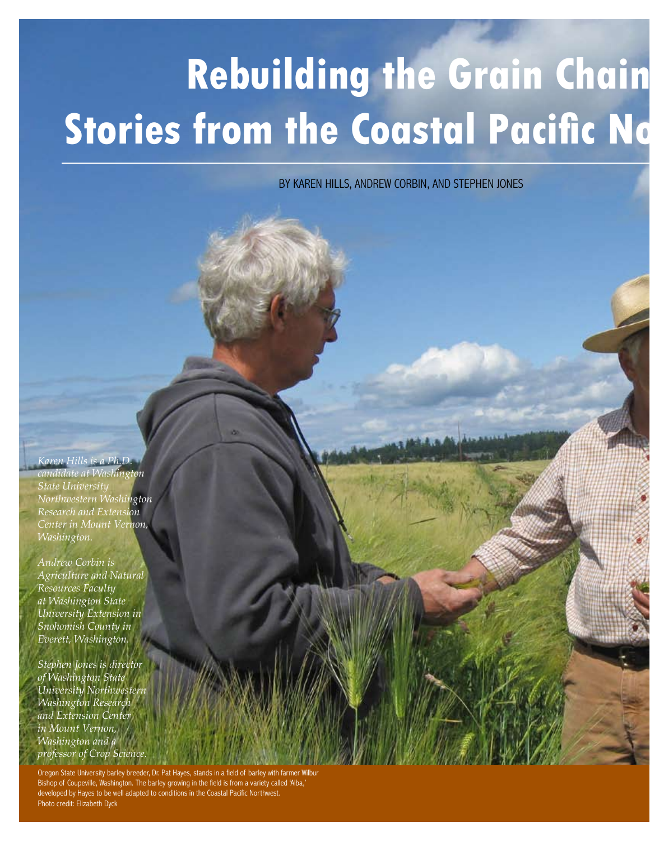# **Rebuilding the Grain Chain Stories from the Coastal Pacific No**

BY KAREN HILLS, ANDREW CORBIN, AND STEPHEN JONES

*Karen Hills is a Ph.D. candidate at Washington State University Northwestern Washington Research and Extension Center in Mount Vernon, Washington.*

*Andrew Corbin is Agriculture and Natural Resources Faculty at Washington State University Extension in Snohomish County in Everett, Washington.*

*Stephen Jones is director of Washington State University Northwestern Washington Research and Extension Center in Mount Vernon, Washington and a professor of Crop Science.* 

Oregon State University barley breeder, Dr. Pat Hayes, stands in a field of ba Bishop of Coupeville, Washington. The barley growing in the field is from a variety called 'Alba,' developed by Hayes to be well adapted to conditions in the Coastal Pacific Northwest. Photo credit: Elizabeth Dyck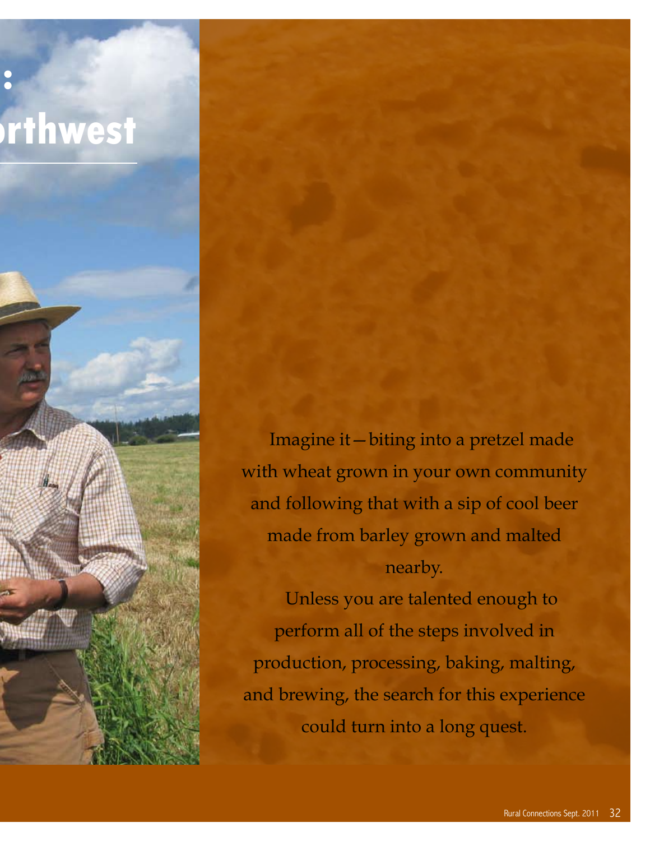

Imagine it—biting into a pretzel made with wheat grown in your own community and following that with a sip of cool beer made from barley grown and malted nearby.

Unless you are talented enough to perform all of the steps involved in production, processing, baking, malting, and brewing, the search for this experience could turn into a long quest.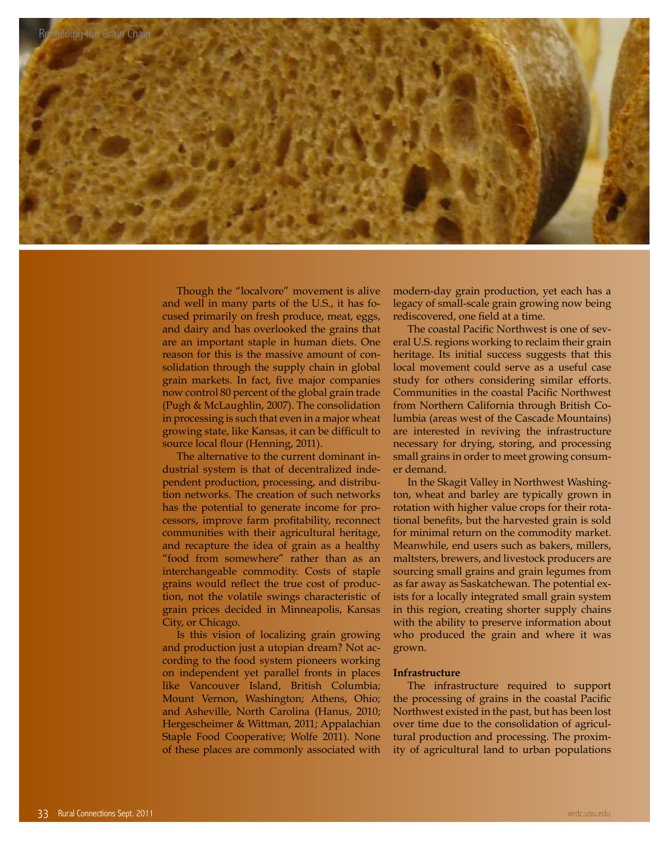

Though the "localvore" movement is alive and well in many parts of the U.S., it has focused primarily on fresh produce, meat, eggs, and dairy and has overlooked the grains that are an important staple in human diets. One reason for this is the massive amount of consolidation through the supply chain in global grain markets. In fact, five major companies now control 80 percent of the global grain trade (Pugh & McLaughlin, 2007). The consolidation in processing is such that even in a major wheat growing state, like Kansas, it can be difficult to source local flour (Henning, 2011).

The alternative to the current dominant industrial system is that of decentralized independent production, processing, and distribution networks. The creation of such networks has the potential to generate income for processors, improve farm profitability, reconnect communities with their agricultural heritage, and recapture the idea of grain as a healthy "food from somewhere" rather than as an interchangeable commodity. Costs of staple grains would reflect the true cost of production, not the volatile swings characteristic of grain prices decided in Minneapolis, Kansas City, or Chicago.

Is this vision of localizing grain growing and production just a utopian dream? Not according to the food system pioneers working on independent yet parallel fronts in places like Vancouver Island, British Columbia; Mount Vernon, Washington; Athens, Ohio; and Asheville, North Carolina (Hanus, 2010; Hergescheimer & Wittman, 2011; Appalachian Staple Food Cooperative; Wolfe 2011). None of these places are commonly associated with

modern-day grain production, yet each has a legacy of small-scale grain growing now being rediscovered, one field at a time.

The coastal Pacific Northwest is one of several U.S. regions working to reclaim their grain heritage. Its initial success suggests that this local movement could serve as a useful case study for others considering similar efforts. Communities in the coastal Pacific Northwest from Northern California through British Columbia (areas west of the Cascade Mountains) are interested in reviving the infrastructure necessary for drying, storing, and processing small grains in order to meet growing consumer demand.

In the Skagit Valley in Northwest Washington, wheat and barley are typically grown in rotation with higher value crops for their rotational benefits, but the harvested grain is sold for minimal return on the commodity market. Meanwhile, end users such as bakers, millers, maltsters, brewers, and livestock producers are sourcing small grains and grain legumes from as far away as Saskatchewan. The potential exists for a locally integrated small grain system in this region, creating shorter supply chains with the ability to preserve information about who produced the grain and where it was grown.

## **Infrastructure**

The infrastructure required to support the processing of grains in the coastal Pacific Northwest existed in the past, but has been lost over time due to the consolidation of agricultural production and processing. The proximity of agricultural land to urban populations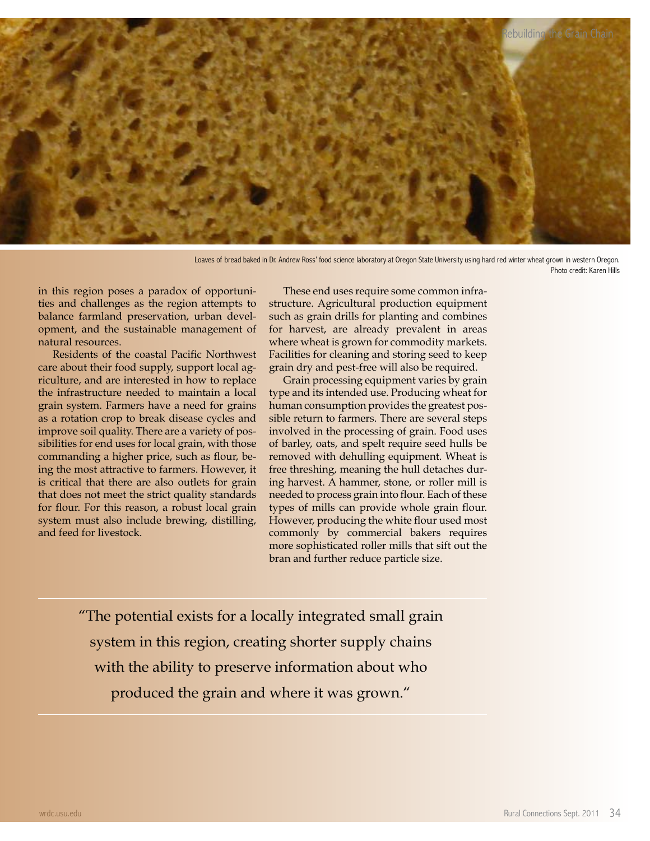

Loaves of bread baked in Dr. Andrew Ross' food science laboratory at Oregon State University using hard red winter wheat grown in western Oregon. Photo credit: Karen Hills

in this region poses a paradox of opportunities and challenges as the region attempts to balance farmland preservation, urban development, and the sustainable management of natural resources.

Residents of the coastal Pacific Northwest care about their food supply, support local agriculture, and are interested in how to replace the infrastructure needed to maintain a local grain system. Farmers have a need for grains as a rotation crop to break disease cycles and improve soil quality. There are a variety of possibilities for end uses for local grain, with those commanding a higher price, such as flour, being the most attractive to farmers. However, it is critical that there are also outlets for grain that does not meet the strict quality standards for flour. For this reason, a robust local grain system must also include brewing, distilling, and feed for livestock.

These end uses require some common infrastructure. Agricultural production equipment such as grain drills for planting and combines for harvest, are already prevalent in areas where wheat is grown for commodity markets. Facilities for cleaning and storing seed to keep grain dry and pest-free will also be required.

Grain processing equipment varies by grain type and its intended use. Producing wheat for human consumption provides the greatest possible return to farmers. There are several steps involved in the processing of grain. Food uses of barley, oats, and spelt require seed hulls be removed with dehulling equipment. Wheat is free threshing, meaning the hull detaches during harvest. A hammer, stone, or roller mill is needed to process grain into flour. Each of these types of mills can provide whole grain flour. However, producing the white flour used most commonly by commercial bakers requires more sophisticated roller mills that sift out the bran and further reduce particle size.

"The potential exists for a locally integrated small grain system in this region, creating shorter supply chains with the ability to preserve information about who produced the grain and where it was grown."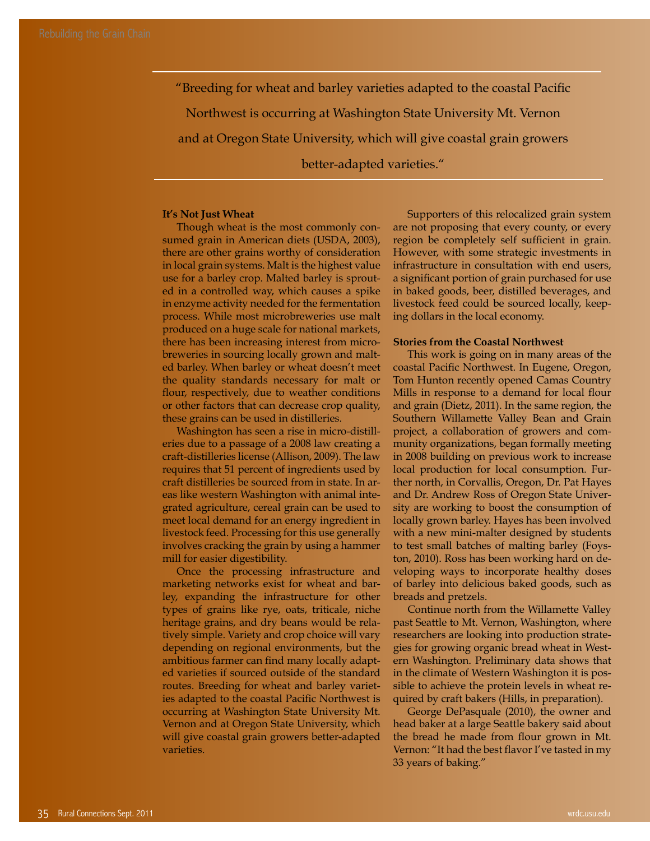"Breeding for wheat and barley varieties adapted to the coastal Pacific Northwest is occurring at Washington State University Mt. Vernon and at Oregon State University, which will give coastal grain growers better-adapted varieties."

### **It's Not Just Wheat**

Though wheat is the most commonly consumed grain in American diets (USDA, 2003), there are other grains worthy of consideration in local grain systems. Malt is the highest value use for a barley crop. Malted barley is sprouted in a controlled way, which causes a spike in enzyme activity needed for the fermentation process. While most microbreweries use malt produced on a huge scale for national markets, there has been increasing interest from microbreweries in sourcing locally grown and malted barley. When barley or wheat doesn't meet the quality standards necessary for malt or flour, respectively, due to weather conditions or other factors that can decrease crop quality, these grains can be used in distilleries.

Washington has seen a rise in micro-distilleries due to a passage of a 2008 law creating a craft-distilleries license (Allison, 2009). The law requires that 51 percent of ingredients used by craft distilleries be sourced from in state. In areas like western Washington with animal integrated agriculture, cereal grain can be used to meet local demand for an energy ingredient in livestock feed. Processing for this use generally involves cracking the grain by using a hammer mill for easier digestibility.

Once the processing infrastructure and marketing networks exist for wheat and barley, expanding the infrastructure for other types of grains like rye, oats, triticale, niche heritage grains, and dry beans would be relatively simple. Variety and crop choice will vary depending on regional environments, but the ambitious farmer can find many locally adapted varieties if sourced outside of the standard routes. Breeding for wheat and barley varieties adapted to the coastal Pacific Northwest is occurring at Washington State University Mt. Vernon and at Oregon State University, which will give coastal grain growers better-adapted varieties.

Supporters of this relocalized grain system are not proposing that every county, or every region be completely self sufficient in grain. However, with some strategic investments in infrastructure in consultation with end users, a significant portion of grain purchased for use in baked goods, beer, distilled beverages, and livestock feed could be sourced locally, keeping dollars in the local economy.

### **Stories from the Coastal Northwest**

This work is going on in many areas of the coastal Pacific Northwest. In Eugene, Oregon, Tom Hunton recently opened Camas Country Mills in response to a demand for local flour and grain (Dietz, 2011). In the same region, the Southern Willamette Valley Bean and Grain project, a collaboration of growers and community organizations, began formally meeting in 2008 building on previous work to increase local production for local consumption. Further north, in Corvallis, Oregon, Dr. Pat Hayes and Dr. Andrew Ross of Oregon State University are working to boost the consumption of locally grown barley. Hayes has been involved with a new mini-malter designed by students to test small batches of malting barley (Foyston, 2010). Ross has been working hard on developing ways to incorporate healthy doses of barley into delicious baked goods, such as breads and pretzels.

Continue north from the Willamette Valley past Seattle to Mt. Vernon, Washington, where researchers are looking into production strategies for growing organic bread wheat in Western Washington. Preliminary data shows that in the climate of Western Washington it is possible to achieve the protein levels in wheat required by craft bakers (Hills, in preparation).

George DePasquale (2010), the owner and head baker at a large Seattle bakery said about the bread he made from flour grown in Mt. Vernon: "It had the best flavor I've tasted in my 33 years of baking."